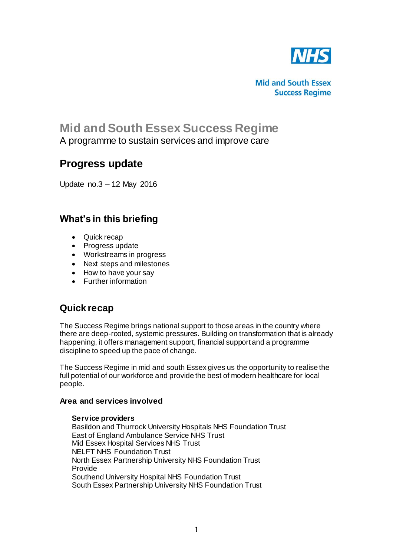

**Mid and South Essex Success Regime** 

# **Mid and South Essex Success Regime** A programme to sustain services and improve care

# **Progress update**

Update no.3 – 12 May 2016

# **What's in this briefing**

- Quick recap
- Progress update
- Workstreams in progress
- Next steps and milestones
- How to have your say
- Further information

## **Quick recap**

The Success Regime brings national support to those areas in the country where there are deep-rooted, systemic pressures. Building on transformation that is already happening, it offers management support, financial support and a programme discipline to speed up the pace of change.

The Success Regime in mid and south Essex gives us the opportunity to realise the full potential of our workforce and provide the best of modern healthcare for local people.

## **Area and services involved**

### **Service providers**

Basildon and Thurrock University Hospitals NHS Foundation Trust East of England Ambulance Service NHS Trust Mid Essex Hospital Services NHS Trust NELFT NHS Foundation Trust North Essex Partnership University NHS Foundation Trust Provide Southend University Hospital NHS Foundation Trust South Essex Partnership University NHS Foundation Trust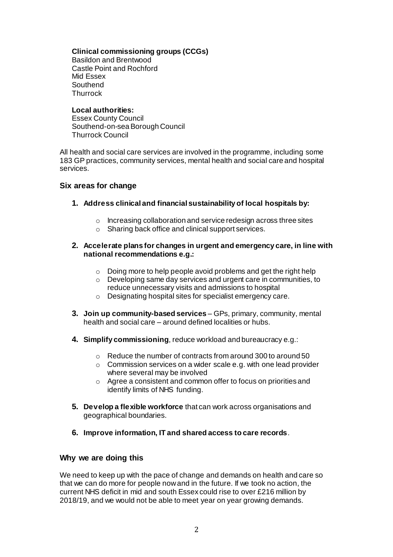## **Clinical commissioning groups (CCGs)**

Basildon and Brentwood Castle Point and Rochford Mid Essex **Southend Thurrock** 

#### **Local authorities:**

Essex County Council Southend-on-sea Borough Council Thurrock Council

All health and social care services are involved in the programme, including some 183 GP practices, community services, mental health and social care and hospital services.

## **Six areas for change**

- **1. Address clinical and financial sustainability of local hospitals by:**
	- o Increasing collaboration and service redesign across three sites
	- o Sharing back office and clinical support services.

### **2. Accelerate plans for changes in urgent and emergency care, in line with national recommendations e.g.:**

- o Doing more to help people avoid problems and get the right help
- o Developing same day services and urgent care in communities, to reduce unnecessary visits and admissions to hospital
- o Designating hospital sites for specialist emergency care.
- **3. Join up community-based services** GPs, primary, community, mental health and social care – around defined localities or hubs.
- **4. Simplify commissioning**, reduce workload and bureaucracy e.g.:
	- o Reduce the number of contracts from around 300 to around 50
	- o Commission services on a wider scale e.g. with one lead provider where several may be involved
	- o Agree a consistent and common offer to focus on priorities and identify limits of NHS funding.
- **5. Develop a flexible workforce** that can work across organisations and geographical boundaries.
- **6. Improve information, IT and shared access to care records**.

## **Why we are doing this**

We need to keep up with the pace of change and demands on health and care so that we can do more for people now and in the future. If we took no action, the current NHS deficit in mid and south Essex could rise to over £216 million by 2018/19, and we would not be able to meet year on year growing demands.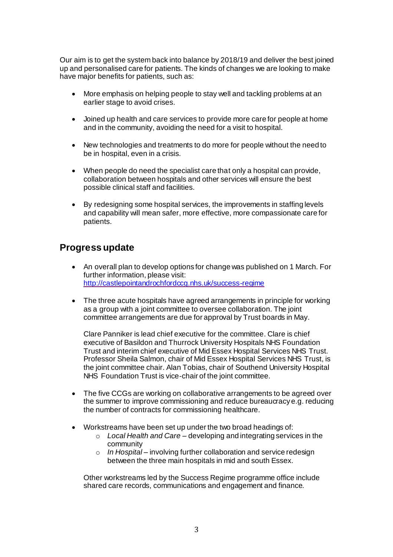Our aim is to get the system back into balance by 2018/19 and deliver the best joined up and personalised care for patients. The kinds of changes we are looking to make have major benefits for patients, such as:

- More emphasis on helping people to stay well and tackling problems at an earlier stage to avoid crises.
- Joined up health and care services to provide more care for people at home and in the community, avoiding the need for a visit to hospital.
- New technologies and treatments to do more for people without the need to be in hospital, even in a crisis.
- When people do need the specialist care that only a hospital can provide, collaboration between hospitals and other services will ensure the best possible clinical staff and facilities.
- By redesigning some hospital services, the improvements in staffing levels and capability will mean safer, more effective, more compassionate care for patients.

## **Progress update**

- An overall plan to develop options for change was published on 1 March. For further information, please visit: <http://castlepointandrochfordccg.nhs.uk/success-regime>
- The three acute hospitals have agreed arrangements in principle for working as a group with a joint committee to oversee collaboration. The joint committee arrangements are due for approval by Trust boards in May.

Clare Panniker is lead chief executive for the committee. Clare is chief executive of Basildon and Thurrock University Hospitals NHS Foundation Trust and interim chief executive of Mid Essex Hospital Services NHS Trust. Professor Sheila Salmon, chair of Mid Essex Hospital Services NHS Trust, is the joint committee chair. Alan Tobias, chair of Southend University Hospital NHS Foundation Trust is vice-chair of the joint committee.

- The five CCGs are working on collaborative arrangements to be agreed over the summer to improve commissioning and reduce bureaucracy e.g. reducing the number of contracts for commissioning healthcare.
- Workstreams have been set up under the two broad headings of:
	- o *Local Health and Care* developing and integrating services in the community
	- o *In Hospital* involving further collaboration and service redesign between the three main hospitals in mid and south Essex.

Other workstreams led by the Success Regime programme office include shared care records, communications and engagement and finance.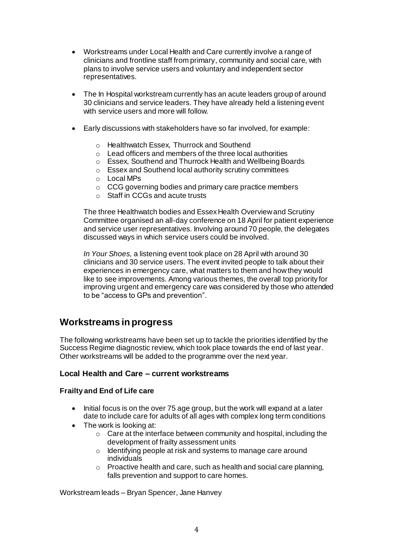- Workstreams under Local Health and Care currently involve a range of clinicians and frontline staff from primary, community and social care, with plans to involve service users and voluntary and independent sector representatives.
- The In Hospital workstream currently has an acute leaders group of around 30 clinicians and service leaders. They have already held a listening event with service users and more will follow.
- Early discussions with stakeholders have so far involved, for example:
	- o Healthwatch Essex, Thurrock and Southend
	- o Lead officers and members of the three local authorities
	- o Essex, Southend and Thurrock Health and Wellbeing Boards
	- o Essex and Southend local authority scrutiny committees
	- o Local MPs
	- o CCG governing bodies and primary care practice members
	- o Staff in CCGs and acute trusts

The three Healthwatch bodies and Essex Health Overview and Scrutiny Committee organised an all-day conference on 18 April for patient experience and service user representatives. Involving around 70 people, the delegates discussed ways in which service users could be involved.

*In Your Shoes,* a listening event took place on 28 April with around 30 clinicians and 30 service users. The event invited people to talk about their experiences in emergency care, what matters to them and how they would like to see improvements. Among various themes, the overall top priority for improving urgent and emergency care was considered by those who attended to be "access to GPs and prevention".

## **Workstreams in progress**

The following workstreams have been set up to tackle the priorities identified by the Success Regime diagnostic review, which took place towards the end of last year. Other workstreams will be added to the programme over the next year.

## **Local Health and Care – current workstreams**

## **Frailty and End of Life care**

- $\bullet$  Initial focus is on the over 75 age group, but the work will expand at a later date to include care for adults of all ages with complex long term conditions
- The work is looking at:
	- o Care at the interface between community and hospital, including the development of frailty assessment units
	- o Identifying people at risk and systems to manage care around individuals
	- $\circ$  Proactive health and care, such as health and social care planning, falls prevention and support to care homes.

Workstream leads – Bryan Spencer, Jane Hanvey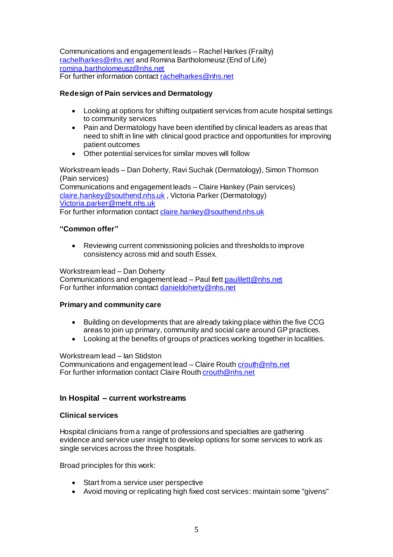Communications and engagement leads – Rachel Harkes (Frailty) [rachelharkes@nhs.net](mailto:rachelharkes@nhs.net) and Romina Bartholomeusz (End of Life) [romina.bartholomeusz@nhs.net](mailto:romina.bartholomeusz@nhs.net) For further information contac[t rachelharkes@nhs.net](mailto:rachelharkes@nhs.net)

## **Redesign of Pain services and Dermatology**

- Looking at options for shifting outpatient services from acute hospital settings to community services
- Pain and Dermatology have been identified by clinical leaders as areas that need to shift in line with clinical good practice and opportunities for improving patient outcomes
- Other potential services for similar moves will follow

Workstream leads – Dan Doherty, Ravi Suchak (Dermatology), Simon Thomson (Pain services)

Communications and engagement leads – Claire Hankey (Pain services) [claire.hankey@southend.nhs.uk](mailto:claire.hankey@southend.nhs.uk) , Victoria Parker (Dermatology) [Victoria.parker@meht.nhs.uk](mailto:Victoria.parker@meht.nhs.uk) For further information contac[t claire.hankey@southend.nhs.uk](mailto:claire.hankey@southend.nhs.uk)

### **"Common offer"**

 Reviewing current commissioning policies and thresholds to improve consistency across mid and south Essex.

Workstream lead – Dan Doherty Communications and engagement lead – Paul Ilet[t paulilett@nhs.net](mailto:paulilett@nhs.net) For further information contac[t danieldoherty@nhs.net](mailto:danieldoherty@nhs.net)

### **Primary and community care**

- Building on developments that are already taking place within the five CCG areas to join up primary, community and social care around GP practices.
- Looking at the benefits of groups of practices working together in localities.

Workstream lead – Ian Stidston

Communications and engagement lead – Claire Routh crouth @nhs.net For further information contact Claire Rout[h crouth@nhs.net](mailto:crouth@nhs.net)

## **In Hospital – current workstreams**

### **Clinical services**

Hospital clinicians from a range of professions and specialties are gathering evidence and service user insight to develop options for some services to work as single services across the three hospitals.

Broad principles for this work:

- Start from a service user perspective
- Avoid moving or replicating high fixed cost services: maintain some "givens"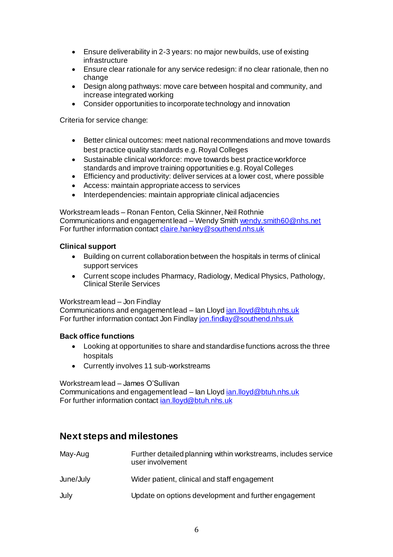- Ensure deliverability in 2-3 years: no major new builds, use of existing infrastructure
- Ensure clear rationale for any service redesign: if no clear rationale, then no change
- Design along pathways: move care between hospital and community, and increase integrated working
- Consider opportunities to incorporate technology and innovation

Criteria for service change:

- Better clinical outcomes: meet national recommendations and move towards best practice quality standards e.g. Royal Colleges
- Sustainable clinical workforce: move towards best practice workforce standards and improve training opportunities e.g. Royal Colleges
- Efficiency and productivity: deliver services at a lower cost, where possible
- Access: maintain appropriate access to services
- Interdependencies: maintain appropriate clinical adjacencies

Workstream leads – Ronan Fenton, Celia Skinner, Neil Rothnie Communications and engagement lead – Wendy Smit[h wendy.smith60@nhs.net](mailto:wendy.smith60@nhs.net) For further information contac[t claire.hankey@southend.nhs.uk](mailto:claire.hankey@southend.nhs.uk)

## **Clinical support**

- Building on current collaboration between the hospitals in terms of clinical support services
- Current scope includes Pharmacy, Radiology, Medical Physics, Pathology, Clinical Sterile Services

### Workstream lead – Jon Findlay

Communications and engagement lead – lan Lloy[d ian.lloyd@btuh.nhs.uk](mailto:ian.lloyd@btuh.nhs.uk) For further information contact Jon Findla[y jon.findlay@southend.nhs.uk](mailto:jon.findlay@southend.nhs.uk)

### **Back office functions**

- Looking at opportunities to share and standardise functions across the three hospitals
- Currently involves 11 sub-workstreams

Workstream lead – James O'Sullivan

Communications and engagement lead – lan Lloy[d ian.lloyd@btuh.nhs.uk](mailto:ian.lloyd@btuh.nhs.uk) For further information contac[t ian.lloyd@btuh.nhs.uk](mailto:ian.lloyd@btuh.nhs.uk)

## **Next steps and milestones**

| May-Aug   | Further detailed planning within workstreams, includes service<br>user involvement |
|-----------|------------------------------------------------------------------------------------|
| June/July | Wider patient, clinical and staff engagement                                       |
| July      | Update on options development and further engagement                               |